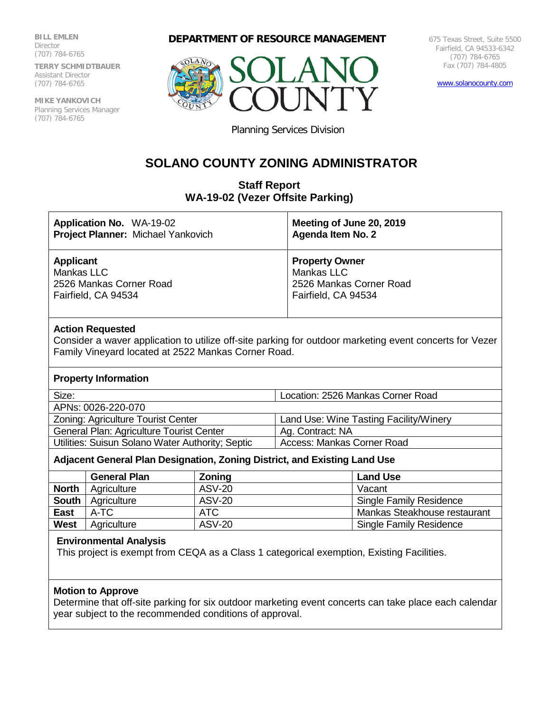**BILL EMLEN** Director (707) 784-6765

**TERRY SCHMIDTBAUER** Assistant Director (707) 784-6765

**MIKE YANKOVICH** Planning Services Manager (707) 784-6765

**DEPARTMENT OF RESOURCE MANAGEMENT**



675 Texas Street, Suite 5500 Fairfield, CA 94533-6342 (707) 784-6765 Fax (707) 784-4805

[www.solanocounty.com](http://www.solanocounty.com/)

Planning Services Division

# **SOLANO COUNTY ZONING ADMINISTRATOR**

# **Staff Report WA-19-02 (Vezer Offsite Parking)**

| <b>Application No. WA-19-02</b>    | Meeting of June 20, 2019 |
|------------------------------------|--------------------------|
| Project Planner: Michael Yankovich | <b>Agenda Item No. 2</b> |
| <b>Applicant</b>                   | <b>Property Owner</b>    |
| Mankas LLC                         | Mankas LLC               |
| 2526 Mankas Corner Road            | 2526 Mankas Corner Road  |
| Fairfield, CA 94534                | Fairfield, CA 94534      |
| Astian Danuartad                   |                          |

#### **Action Requested**

Consider a waver application to utilize off-site parking for outdoor marketing event concerts for Vezer Family Vineyard located at 2522 Mankas Corner Road.

#### **Property Information**

| Size:                                    | Location: 2526 Mankas Corner Road      |
|------------------------------------------|----------------------------------------|
| APNs: 0026-220-070                       |                                        |
| Zoning: Agriculture Tourist Center       | Land Use: Wine Tasting Facility/Winery |
| General Plan: Agriculture Tourist Center | Ag. Contract: NA                       |

Utilities: Suisun Solano Water Authority; Septic | Access: Mankas Corner Road

## **Adjacent General Plan Designation, Zoning District, and Existing Land Use**

|              | <b>General Plan</b> | Zoning        | <b>Land Use</b>                |
|--------------|---------------------|---------------|--------------------------------|
| <b>North</b> | Agriculture         | <b>ASV-20</b> | Vacant                         |
| <b>South</b> | Agriculture         | <b>ASV-20</b> | <b>Single Family Residence</b> |
| <b>East</b>  | A-TC                | ATC.          | Mankas Steakhouse restaurant   |
| West         | Agriculture         | <b>ASV-20</b> | <b>Single Family Residence</b> |

#### **Environmental Analysis**

This project is exempt from CEQA as a Class 1 categorical exemption, Existing Facilities.

## **Motion to Approve**

Determine that off-site parking for six outdoor marketing event concerts can take place each calendar year subject to the recommended conditions of approval.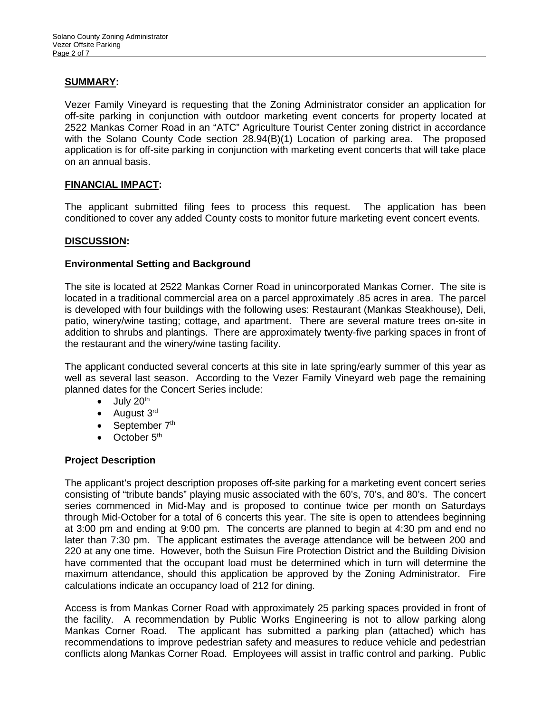# **SUMMARY:**

Vezer Family Vineyard is requesting that the Zoning Administrator consider an application for off-site parking in conjunction with outdoor marketing event concerts for property located at 2522 Mankas Corner Road in an "ATC" Agriculture Tourist Center zoning district in accordance with the Solano County Code section 28.94(B)(1) Location of parking area. The proposed application is for off-site parking in conjunction with marketing event concerts that will take place on an annual basis.

#### **FINANCIAL IMPACT:**

The applicant submitted filing fees to process this request. The application has been conditioned to cover any added County costs to monitor future marketing event concert events.

#### **DISCUSSION:**

#### **Environmental Setting and Background**

The site is located at 2522 Mankas Corner Road in unincorporated Mankas Corner. The site is located in a traditional commercial area on a parcel approximately .85 acres in area. The parcel is developed with four buildings with the following uses: Restaurant (Mankas Steakhouse), Deli, patio, winery/wine tasting; cottage, and apartment. There are several mature trees on-site in addition to shrubs and plantings. There are approximately twenty-five parking spaces in front of the restaurant and the winery/wine tasting facility.

The applicant conducted several concerts at this site in late spring/early summer of this year as well as several last season. According to the Vezer Family Vineyard web page the remaining planned dates for the Concert Series include:

- $\bullet$  July 20<sup>th</sup>
- August 3<sup>rd</sup>
- September  $7<sup>th</sup>$
- $\bullet$  October  $5<sup>th</sup>$

## **Project Description**

The applicant's project description proposes off-site parking for a marketing event concert series consisting of "tribute bands" playing music associated with the 60's, 70's, and 80's. The concert series commenced in Mid-May and is proposed to continue twice per month on Saturdays through Mid-October for a total of 6 concerts this year. The site is open to attendees beginning at 3:00 pm and ending at 9:00 pm. The concerts are planned to begin at 4:30 pm and end no later than 7:30 pm. The applicant estimates the average attendance will be between 200 and 220 at any one time. However, both the Suisun Fire Protection District and the Building Division have commented that the occupant load must be determined which in turn will determine the maximum attendance, should this application be approved by the Zoning Administrator. Fire calculations indicate an occupancy load of 212 for dining.

Access is from Mankas Corner Road with approximately 25 parking spaces provided in front of the facility. A recommendation by Public Works Engineering is not to allow parking along Mankas Corner Road. The applicant has submitted a parking plan (attached) which has recommendations to improve pedestrian safety and measures to reduce vehicle and pedestrian conflicts along Mankas Corner Road. Employees will assist in traffic control and parking. Public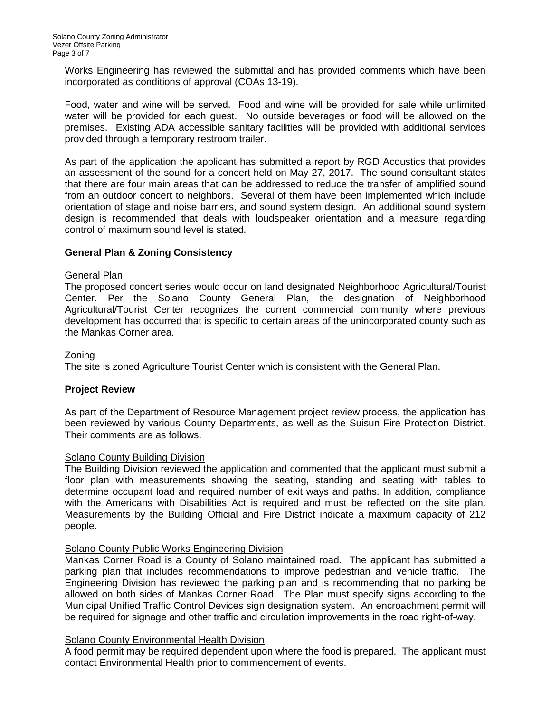Works Engineering has reviewed the submittal and has provided comments which have been incorporated as conditions of approval (COAs 13-19).

Food, water and wine will be served. Food and wine will be provided for sale while unlimited water will be provided for each guest. No outside beverages or food will be allowed on the premises. Existing ADA accessible sanitary facilities will be provided with additional services provided through a temporary restroom trailer.

As part of the application the applicant has submitted a report by RGD Acoustics that provides an assessment of the sound for a concert held on May 27, 2017. The sound consultant states that there are four main areas that can be addressed to reduce the transfer of amplified sound from an outdoor concert to neighbors. Several of them have been implemented which include orientation of stage and noise barriers, and sound system design. An additional sound system design is recommended that deals with loudspeaker orientation and a measure regarding control of maximum sound level is stated.

## **General Plan & Zoning Consistency**

## General Plan

The proposed concert series would occur on land designated Neighborhood Agricultural/Tourist Center. Per the Solano County General Plan, the designation of Neighborhood Agricultural/Tourist Center recognizes the current commercial community where previous development has occurred that is specific to certain areas of the unincorporated county such as the Mankas Corner area.

## Zoning

The site is zoned Agriculture Tourist Center which is consistent with the General Plan.

## **Project Review**

As part of the Department of Resource Management project review process, the application has been reviewed by various County Departments, as well as the Suisun Fire Protection District. Their comments are as follows.

#### Solano County Building Division

The Building Division reviewed the application and commented that the applicant must submit a floor plan with measurements showing the seating, standing and seating with tables to determine occupant load and required number of exit ways and paths. In addition, compliance with the Americans with Disabilities Act is required and must be reflected on the site plan. Measurements by the Building Official and Fire District indicate a maximum capacity of 212 people.

## Solano County Public Works Engineering Division

Mankas Corner Road is a County of Solano maintained road. The applicant has submitted a parking plan that includes recommendations to improve pedestrian and vehicle traffic. The Engineering Division has reviewed the parking plan and is recommending that no parking be allowed on both sides of Mankas Corner Road. The Plan must specify signs according to the Municipal Unified Traffic Control Devices sign designation system. An encroachment permit will be required for signage and other traffic and circulation improvements in the road right-of-way.

# **Solano County Environmental Health Division**

A food permit may be required dependent upon where the food is prepared. The applicant must contact Environmental Health prior to commencement of events.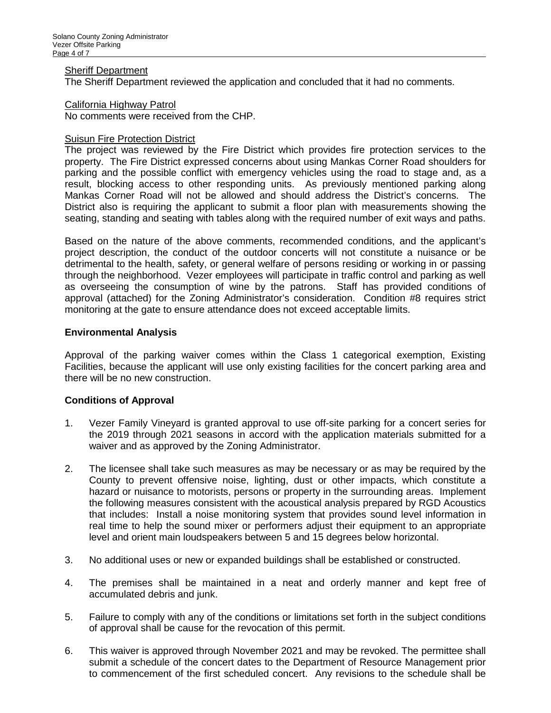#### **Sheriff Department**

The Sheriff Department reviewed the application and concluded that it had no comments.

#### California Highway Patrol

No comments were received from the CHP.

## **Suisun Fire Protection District**

The project was reviewed by the Fire District which provides fire protection services to the property. The Fire District expressed concerns about using Mankas Corner Road shoulders for parking and the possible conflict with emergency vehicles using the road to stage and, as a result, blocking access to other responding units. As previously mentioned parking along Mankas Corner Road will not be allowed and should address the District's concerns. The District also is requiring the applicant to submit a floor plan with measurements showing the seating, standing and seating with tables along with the required number of exit ways and paths.

Based on the nature of the above comments, recommended conditions, and the applicant's project description, the conduct of the outdoor concerts will not constitute a nuisance or be detrimental to the health, safety, or general welfare of persons residing or working in or passing through the neighborhood. Vezer employees will participate in traffic control and parking as well as overseeing the consumption of wine by the patrons. Staff has provided conditions of approval (attached) for the Zoning Administrator's consideration. Condition #8 requires strict monitoring at the gate to ensure attendance does not exceed acceptable limits.

#### **Environmental Analysis**

Approval of the parking waiver comes within the Class 1 categorical exemption, Existing Facilities, because the applicant will use only existing facilities for the concert parking area and there will be no new construction.

#### **Conditions of Approval**

- 1. Vezer Family Vineyard is granted approval to use off-site parking for a concert series for the 2019 through 2021 seasons in accord with the application materials submitted for a waiver and as approved by the Zoning Administrator.
- 2. The licensee shall take such measures as may be necessary or as may be required by the County to prevent offensive noise, lighting, dust or other impacts, which constitute a hazard or nuisance to motorists, persons or property in the surrounding areas. Implement the following measures consistent with the acoustical analysis prepared by RGD Acoustics that includes: Install a noise monitoring system that provides sound level information in real time to help the sound mixer or performers adjust their equipment to an appropriate level and orient main loudspeakers between 5 and 15 degrees below horizontal.
- 3. No additional uses or new or expanded buildings shall be established or constructed.
- 4. The premises shall be maintained in a neat and orderly manner and kept free of accumulated debris and junk.
- 5. Failure to comply with any of the conditions or limitations set forth in the subject conditions of approval shall be cause for the revocation of this permit.
- 6. This waiver is approved through November 2021 and may be revoked. The permittee shall submit a schedule of the concert dates to the Department of Resource Management prior to commencement of the first scheduled concert. Any revisions to the schedule shall be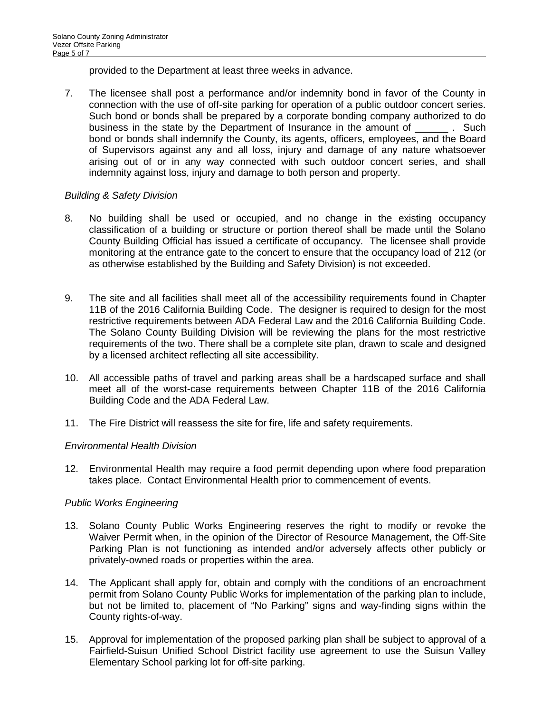provided to the Department at least three weeks in advance.

7. The licensee shall post a performance and/or indemnity bond in favor of the County in connection with the use of off-site parking for operation of a public outdoor concert series. Such bond or bonds shall be prepared by a corporate bonding company authorized to do business in the state by the Department of Insurance in the amount of \_\_\_\_\_\_ . Such bond or bonds shall indemnify the County, its agents, officers, employees, and the Board of Supervisors against any and all loss, injury and damage of any nature whatsoever arising out of or in any way connected with such outdoor concert series, and shall indemnity against loss, injury and damage to both person and property.

# *Building & Safety Division*

- 8. No building shall be used or occupied, and no change in the existing occupancy classification of a building or structure or portion thereof shall be made until the Solano County Building Official has issued a certificate of occupancy. The licensee shall provide monitoring at the entrance gate to the concert to ensure that the occupancy load of 212 (or as otherwise established by the Building and Safety Division) is not exceeded.
- 9. The site and all facilities shall meet all of the accessibility requirements found in Chapter 11B of the 2016 California Building Code. The designer is required to design for the most restrictive requirements between ADA Federal Law and the 2016 California Building Code. The Solano County Building Division will be reviewing the plans for the most restrictive requirements of the two. There shall be a complete site plan, drawn to scale and designed by a licensed architect reflecting all site accessibility.
- 10. All accessible paths of travel and parking areas shall be a hardscaped surface and shall meet all of the worst-case requirements between Chapter 11B of the 2016 California Building Code and the ADA Federal Law.
- 11. The Fire District will reassess the site for fire, life and safety requirements.

## *Environmental Health Division*

12. Environmental Health may require a food permit depending upon where food preparation takes place. Contact Environmental Health prior to commencement of events.

## *Public Works Engineering*

- 13. Solano County Public Works Engineering reserves the right to modify or revoke the Waiver Permit when, in the opinion of the Director of Resource Management, the Off-Site Parking Plan is not functioning as intended and/or adversely affects other publicly or privately-owned roads or properties within the area.
- 14. The Applicant shall apply for, obtain and comply with the conditions of an encroachment permit from Solano County Public Works for implementation of the parking plan to include, but not be limited to, placement of "No Parking" signs and way-finding signs within the County rights-of-way.
- 15. Approval for implementation of the proposed parking plan shall be subject to approval of a Fairfield-Suisun Unified School District facility use agreement to use the Suisun Valley Elementary School parking lot for off-site parking.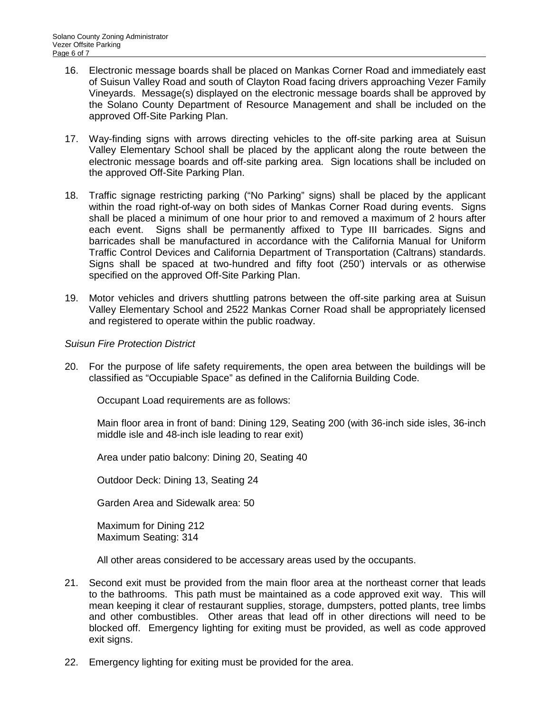- 16. Electronic message boards shall be placed on Mankas Corner Road and immediately east of Suisun Valley Road and south of Clayton Road facing drivers approaching Vezer Family Vineyards. Message(s) displayed on the electronic message boards shall be approved by the Solano County Department of Resource Management and shall be included on the approved Off-Site Parking Plan.
- 17. Way-finding signs with arrows directing vehicles to the off-site parking area at Suisun Valley Elementary School shall be placed by the applicant along the route between the electronic message boards and off-site parking area. Sign locations shall be included on the approved Off-Site Parking Plan.
- 18. Traffic signage restricting parking ("No Parking" signs) shall be placed by the applicant within the road right-of-way on both sides of Mankas Corner Road during events. Signs shall be placed a minimum of one hour prior to and removed a maximum of 2 hours after each event. Signs shall be permanently affixed to Type III barricades. Signs and barricades shall be manufactured in accordance with the California Manual for Uniform Traffic Control Devices and California Department of Transportation (Caltrans) standards. Signs shall be spaced at two-hundred and fifty foot (250') intervals or as otherwise specified on the approved Off-Site Parking Plan.
- 19. Motor vehicles and drivers shuttling patrons between the off-site parking area at Suisun Valley Elementary School and 2522 Mankas Corner Road shall be appropriately licensed and registered to operate within the public roadway.

## *Suisun Fire Protection District*

20. For the purpose of life safety requirements, the open area between the buildings will be classified as "Occupiable Space" as defined in the California Building Code.

Occupant Load requirements are as follows:

Main floor area in front of band: Dining 129, Seating 200 (with 36-inch side isles, 36-inch middle isle and 48-inch isle leading to rear exit)

Area under patio balcony: Dining 20, Seating 40

Outdoor Deck: Dining 13, Seating 24

Garden Area and Sidewalk area: 50

Maximum for Dining 212 Maximum Seating: 314

All other areas considered to be accessary areas used by the occupants.

- 21. Second exit must be provided from the main floor area at the northeast corner that leads to the bathrooms. This path must be maintained as a code approved exit way. This will mean keeping it clear of restaurant supplies, storage, dumpsters, potted plants, tree limbs and other combustibles. Other areas that lead off in other directions will need to be blocked off. Emergency lighting for exiting must be provided, as well as code approved exit signs.
- 22. Emergency lighting for exiting must be provided for the area.